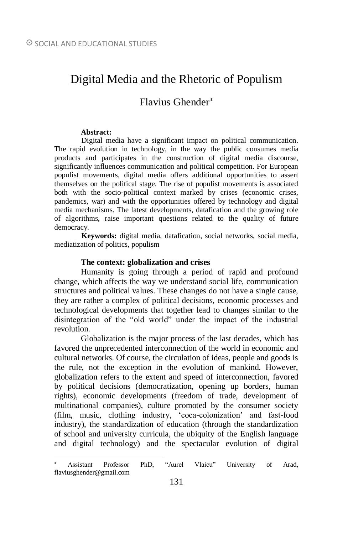# Digital Media and the Rhetoric of Populism

# Flavius Ghender

#### **Abstract:**

 $\overline{a}$ 

Digital media have a significant impact on political communication. The rapid evolution in technology, in the way the public consumes media products and participates in the construction of digital media discourse, significantly influences communication and political competition. For European populist movements, digital media offers additional opportunities to assert themselves on the political stage. The rise of populist movements is associated both with the socio-political context marked by crises (economic crises, pandemics, war) and with the opportunities offered by technology and digital media mechanisms. The latest developments, datafication and the growing role of algorithms, raise important questions related to the quality of future democracy.

**Keywords:** digital media, datafication, social networks, social media, mediatization of politics, populism

#### **The context: globalization and crises**

Humanity is going through a period of rapid and profound change, which affects the way we understand social life, communication structures and political values. These changes do not have a single cause, they are rather a complex of political decisions, economic processes and technological developments that together lead to changes similar to the disintegration of the "old world" under the impact of the industrial revolution.

Globalization is the major process of the last decades, which has favored the unprecedented interconnection of the world in economic and cultural networks. Of course, the circulation of ideas, people and goods is the rule, not the exception in the evolution of mankind. However, globalization refers to the extent and speed of interconnection, favored by political decisions (democratization, opening up borders, human rights), economic developments (freedom of trade, development of multinational companies), culture promoted by the consumer society (film, music, clothing industry, 'coca-colonization' and fast-food industry), the standardization of education (through the standardization of school and university curricula, the ubiquity of the English language and digital technology) and the spectacular evolution of digital

Assistant Professor PhD, "Aurel Vlaicu" University of Arad, flaviusghender@gmail.com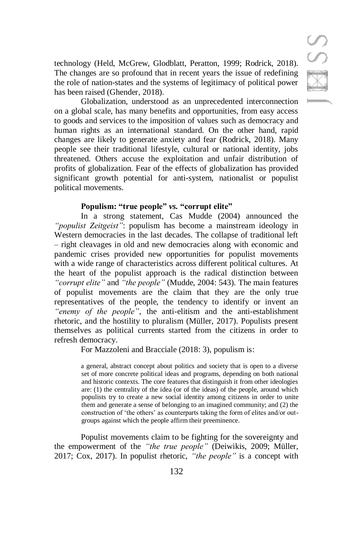technology (Held, McGrew, Glodblatt, Peratton, 1999; Rodrick, 2018). The changes are so profound that in recent years the issue of redefining the role of nation-states and the systems of legitimacy of political power has been raised (Ghender, 2018).

Globalization, understood as an unprecedented interconnection on a global scale, has many benefits and opportunities, from easy access to goods and services to the imposition of values such as democracy and human rights as an international standard. On the other hand, rapid changes are likely to generate anxiety and fear (Rodrick, 2018). Many people see their traditional lifestyle, cultural or national identity, jobs threatened. Others accuse the exploitation and unfair distribution of profits of globalization. Fear of the effects of globalization has provided significant growth potential for anti-system, nationalist or populist political movements.

### **Populism: "true people"** *vs.* **"corrupt elite"**

In a strong statement, Cas Mudde (2004) announced the *"populist Zeitgeist"*: populism has become a mainstream ideology in Western democracies in the last decades. The collapse of traditional left – right cleavages in old and new democracies along with economic and pandemic crises provided new opportunities for populist movements with a wide range of characteristics across different political cultures. At the heart of the populist approach is the radical distinction between *"corrupt elite"* and *"the people"* (Mudde, 2004: 543). The main features of populist movements are the claim that they are the only true representatives of the people, the tendency to identify or invent an *"enemy of the people"*, the anti-elitism and the anti-establishment rhetoric, and the hostility to pluralism (Müller, 2017). Populists present themselves as political currents started from the citizens in order to refresh democracy.

For Mazzoleni and Bracciale (2018: 3), populism is:

a general, abstract concept about politics and society that is open to a diverse set of more concrete political ideas and programs, depending on both national and historic contexts. The core features that distinguish it from other ideologies are: (1) the centrality of the idea (or of the ideas) of the people, around which populists try to create a new social identity among citizens in order to unite them and generate a sense of belonging to an imagined community; and (2) the construction of 'the others' as counterparts taking the form of elites and/or outgroups against which the people affirm their preeminence.

Populist movements claim to be fighting for the sovereignty and the empowerment of the *"the true people"* (Deiwikis, 2009; Müller, 2017; Cox, 2017). In populist rhetoric, *"the people"* is a concept with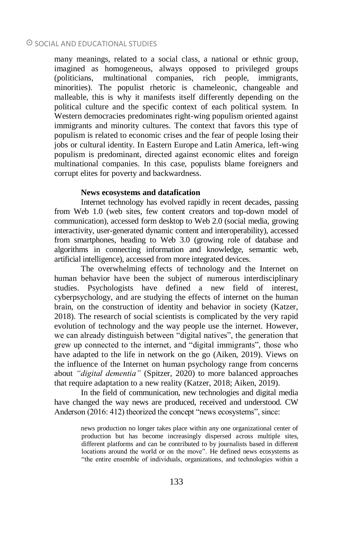## $\odot$  SOCIAL AND EDUCATIONAL STUDIES

many meanings, related to a social class, a national or ethnic group, imagined as homogeneous, always opposed to privileged groups (politicians, multinational companies, rich people, immigrants, minorities). The populist rhetoric is chameleonic, changeable and malleable, this is why it manifests itself differently depending on the political culture and the specific context of each political system. In Western democracies predominates right-wing populism oriented against immigrants and minority cultures. The context that favors this type of populism is related to economic crises and the fear of people losing their jobs or cultural identity. In Eastern Europe and Latin America, left-wing populism is predominant, directed against economic elites and foreign multinational companies. In this case, populists blame foreigners and corrupt elites for poverty and backwardness.

#### **News ecosystems and datafication**

Internet technology has evolved rapidly in recent decades, passing from Web 1.0 (web sites, few content creators and top-down model of communication), accessed form desktop to Web 2.0 (social media, growing interactivity, user-generated dynamic content and interoperability), accessed from smartphones, heading to Web 3.0 (growing role of database and algorithms in connecting information and knowledge, semantic web, artificial intelligence), accessed from more integrated devices.

The overwhelming effects of technology and the Internet on human behavior have been the subject of numerous interdisciplinary studies. Psychologists have defined a new field of interest, cyberpsychology, and are studying the effects of internet on the human brain, on the construction of identity and behavior in society (Katzer, 2018). The research of social scientists is complicated by the very rapid evolution of technology and the way people use the internet. However, we can already distinguish between "digital natives", the generation that grew up connected to the internet, and "digital immigrants", those who have adapted to the life in network on the go (Aiken, 2019). Views on the influence of the Internet on human psychology range from concerns about *"digital dementia"* (Spitzer, 2020) to more balanced approaches that require adaptation to a new reality (Katzer, 2018; Aiken, 2019).

In the field of communication, new technologies and digital media have changed the way news are produced, received and understood. CW Anderson (2016: 412) theorized the concept "news ecosystems", since:

> news production no longer takes place within any one organizational center of production but has become increasingly dispersed across multiple sites, different platforms and can be contributed to by journalists based in different locations around the world or on the move". He defined news ecosystems as "the entire ensemble of individuals, organizations, and technologies within a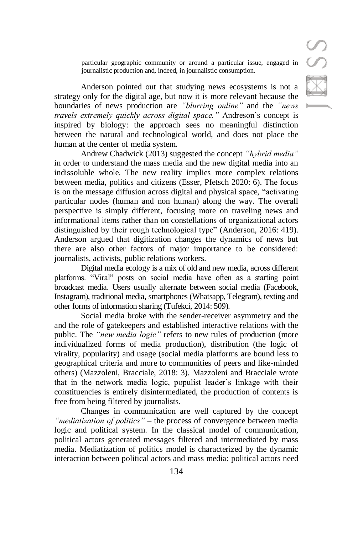S

particular geographic community or around a particular issue, engaged in journalistic production and, indeed, in journalistic consumption.

Anderson pointed out that studying news ecosystems is not a strategy only for the digital age, but now it is more relevant because the boundaries of news production are *"blurring online"* and the *"news travels extremely quickly across digital space."* Andreson's concept is inspired by biology: the approach sees no meaningful distinction between the natural and technological world, and does not place the human at the center of media system.

Andrew Chadwick (2013) suggested the concept *"hybrid media"* in order to understand the mass media and the new digital media into an indissoluble whole. The new reality implies more complex relations between media, politics and citizens (Esser, Pfetsch 2020: 6). The focus is on the message diffusion across digital and physical space, "activating particular nodes (human and non human) along the way. The overall perspective is simply different, focusing more on traveling news and informational items rather than on constellations of organizational actors distinguished by their rough technological type" (Anderson, 2016: 419). Anderson argued that digitization changes the dynamics of news but there are also other factors of major importance to be considered: journalists, activists, public relations workers.

Digital media ecology is a mix of old and new media, across different platforms. "Viral" posts on social media have often as a starting point broadcast media. Users usually alternate between social media (Facebook, Instagram), traditional media, smartphones (Whatsapp, Telegram), texting and other forms of information sharing (Tufekci, 2014: 509).

Social media broke with the sender-receiver asymmetry and the and the role of gatekeepers and established interactive relations with the public. The *"new media logic"* refers to new rules of production (more individualized forms of media production), distribution (the logic of virality, popularity) and usage (social media platforms are bound less to geographical criteria and more to communities of peers and like-minded others) (Mazzoleni, Bracciale, 2018: 3). Mazzoleni and Bracciale wrote that in the network media logic, populist leader's linkage with their constituencies is entirely disintermediated, the production of contents is free from being filtered by journalists.

Changes in communication are well captured by the concept *"mediatization of politics"* – the process of convergence between media logic and political system. In the classical model of communication, political actors generated messages filtered and intermediated by mass media. Mediatization of politics model is characterized by the dynamic interaction between political actors and mass media: political actors need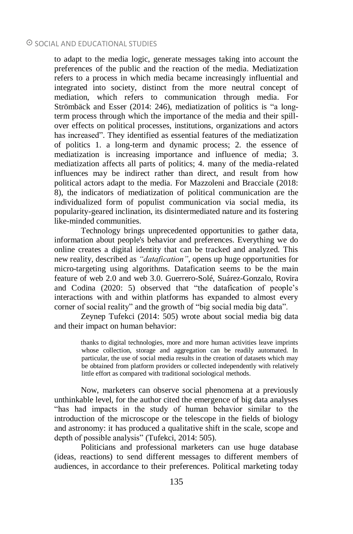to adapt to the media logic, generate messages taking into account the preferences of the public and the reaction of the media. Mediatization refers to a process in which media became increasingly influential and integrated into society, distinct from the more neutral concept of mediation, which refers to communication through media. For Strömbäck and Esser (2014: 246), mediatization of politics is "a longterm process through which the importance of the media and their spillover effects on political processes, institutions, organizations and actors has increased". They identified as essential features of the mediatization of politics 1. a long-term and dynamic process; 2. the essence of mediatization is increasing importance and influence of media; 3. mediatization affects all parts of politics; 4. many of the media-related influences may be indirect rather than direct, and result from how political actors adapt to the media. For Mazzoleni and Bracciale (2018: 8), the indicators of mediatization of political communication are the individualized form of populist communication via social media, its popularity-geared inclination, its disintermediated nature and its fostering like-minded communities.

Technology brings unprecedented opportunities to gather data, information about people's behavior and preferences. Everything we do online creates a digital identity that can be tracked and analyzed. This new reality, described as *"datafication"*, opens up huge opportunities for micro-targeting using algorithms. Datafication seems to be the main feature of web 2.0 and web 3.0. Guerrero-Solé, Suárez-Gonzalo, Rovira and Codina (2020: 5) observed that "the datafication of people's interactions with and within platforms has expanded to almost every corner of social reality" and the growth of "big social media big data".

Zeynep Tufekci (2014: 505) wrote about social media big data and their impact on human behavior:

> thanks to digital technologies, more and more human activities leave imprints whose collection, storage and aggregation can be readily automated. In particular, the use of social media results in the creation of datasets which may be obtained from platform providers or collected independently with relatively little effort as compared with traditional sociological methods.

Now, marketers can observe social phenomena at a previously unthinkable level, for the author cited the emergence of big data analyses "has had impacts in the study of human behavior similar to the introduction of the microscope or the telescope in the fields of biology and astronomy: it has produced a qualitative shift in the scale, scope and depth of possible analysis" (Tufekci, 2014: 505).

Politicians and professional marketers can use huge database (ideas, reactions) to send different messages to different members of audiences, in accordance to their preferences. Political marketing today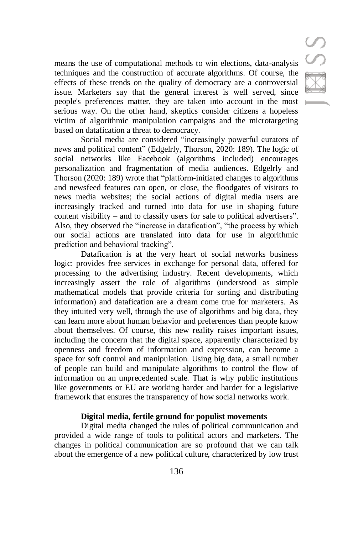means the use of computational methods to win elections, data-analysis techniques and the construction of accurate algorithms. Of course, the effects of these trends on the quality of democracy are a controversial issue. Marketers say that the general interest is well served, since people's preferences matter, they are taken into account in the most serious way. On the other hand, skeptics consider citizens a hopeless victim of algorithmic manipulation campaigns and the microtargeting based on datafication a threat to democracy.

Social media are considered "increasingly powerful curators of news and political content" (Edgelrly, Thorson, 2020: 189). The logic of social networks like Facebook (algorithms included) encourages personalization and fragmentation of media audiences. Edgelrly and Thorson (2020: 189) wrote that "platform-initiated changes to algorithms and newsfeed features can open, or close, the floodgates of visitors to news media websites; the social actions of digital media users are increasingly tracked and turned into data for use in shaping future content visibility – and to classify users for sale to political advertisers". Also, they observed the "increase in datafication", "the process by which our social actions are translated into data for use in algorithmic prediction and behavioral tracking".

Datafication is at the very heart of social networks business logic: provides free services in exchange for personal data, offered for processing to the advertising industry. Recent developments, which increasingly assert the role of algorithms (understood as simple mathematical models that provide criteria for sorting and distributing information) and datafication are a dream come true for marketers. As they intuited very well, through the use of algorithms and big data, they can learn more about human behavior and preferences than people know about themselves. Of course, this new reality raises important issues, including the concern that the digital space, apparently characterized by openness and freedom of information and expression, can become a space for soft control and manipulation. Using big data, a small number of people can build and manipulate algorithms to control the flow of information on an unprecedented scale. That is why public institutions like governments or EU are working harder and harder for a legislative framework that ensures the transparency of how social networks work.

#### **Digital media, fertile ground for populist movements**

Digital media changed the rules of political communication and provided a wide range of tools to political actors and marketers. The changes in political communication are so profound that we can talk about the emergence of a new political culture, characterized by low trust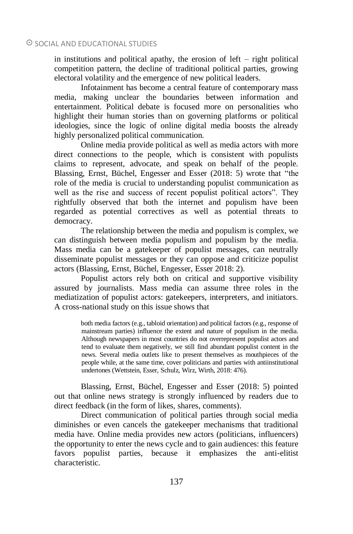in institutions and political apathy, the erosion of left – right political competition pattern, the decline of traditional political parties, growing electoral volatility and the emergence of new political leaders.

Infotainment has become a central feature of contemporary mass media, making unclear the boundaries between information and entertainment. Political debate is focused more on personalities who highlight their human stories than on governing platforms or political ideologies, since the logic of online digital media boosts the already highly personalized political communication.

Online media provide political as well as media actors with more direct connections to the people, which is consistent with populists claims to represent, advocate, and speak on behalf of the people. Blassing, Ernst, Büchel, Engesser and Esser (2018: 5) wrote that "the role of the media is crucial to understanding populist communication as well as the rise and success of recent populist political actors". They rightfully observed that both the internet and populism have been regarded as potential correctives as well as potential threats to democracy.

The relationship between the media and populism is complex, we can distinguish between media populism and populism by the media. Mass media can be a gatekeeper of populist messages, can neutrally disseminate populist messages or they can oppose and criticize populist actors (Blassing, Ernst, Büchel, Engesser, Esser 2018: 2).

Populist actors rely both on critical and supportive visibility assured by journalists. Mass media can assume three roles in the mediatization of populist actors: gatekeepers, interpreters, and initiators. A cross-national study on this issue shows that

> both media factors (e.g., tabloid orientation) and political factors (e.g., response of mainstream parties) influence the extent and nature of populism in the media. Although newspapers in most countries do not overrepresent populist actors and tend to evaluate them negatively, we still find abundant populist content in the news. Several media outlets like to present themselves as mouthpieces of the people while, at the same time, cover politicians and parties with antiinstitutional undertones (Wettstein, Esser, Schulz, Wirz, Wirth, 2018: 476).

Blassing, Ernst, Büchel, Engesser and Esser (2018: 5) pointed out that online news strategy is strongly influenced by readers due to direct feedback (in the form of likes, shares, comments).

Direct communication of political parties through social media diminishes or even cancels the gatekeeper mechanisms that traditional media have. Online media provides new actors (politicians, influencers) the opportunity to enter the news cycle and to gain audiences: this feature favors populist parties, because it emphasizes the anti-elitist characteristic.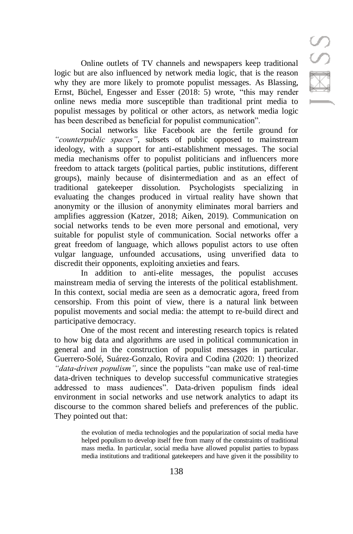Online outlets of TV channels and newspapers keep traditional logic but are also influenced by network media logic, that is the reason why they are more likely to promote populist messages. As Blassing, Ernst, Büchel, Engesser and Esser (2018: 5) wrote, "this may render online news media more susceptible than traditional print media to populist messages by political or other actors, as network media logic has been described as beneficial for populist communication".

Social networks like Facebook are the fertile ground for *"counterpublic spaces"*, subsets of public opposed to mainstream ideology, with a support for anti-establishment messages. The social media mechanisms offer to populist politicians and influencers more freedom to attack targets (political parties, public institutions, different groups), mainly because of disintermediation and as an effect of traditional gatekeeper dissolution. Psychologists specializing in evaluating the changes produced in virtual reality have shown that anonymity or the illusion of anonymity eliminates moral barriers and amplifies aggression (Katzer, 2018; Aiken, 2019). Communication on social networks tends to be even more personal and emotional, very suitable for populist style of communication. Social networks offer a great freedom of language, which allows populist actors to use often vulgar language, unfounded accusations, using unverified data to discredit their opponents, exploiting anxieties and fears.

In addition to anti-elite messages, the populist accuses mainstream media of serving the interests of the political establishment. In this context, social media are seen as a democratic agora, freed from censorship. From this point of view, there is a natural link between populist movements and social media: the attempt to re-build direct and participative democracy.

One of the most recent and interesting research topics is related to how big data and algorithms are used in political communication in general and in the construction of populist messages in particular. Guerrero-Solé, Suárez-Gonzalo, Rovira and Codina (2020: 1) theorized *"data-driven populism"*, since the populists "can make use of real-time data-driven techniques to develop successful communicative strategies addressed to mass audiences". Data-driven populism finds ideal environment in social networks and use network analytics to adapt its discourse to the common shared beliefs and preferences of the public. They pointed out that:

> the evolution of media technologies and the popularization of social media have helped populism to develop itself free from many of the constraints of traditional mass media. In particular, social media have allowed populist parties to bypass media institutions and traditional gatekeepers and have given it the possibility to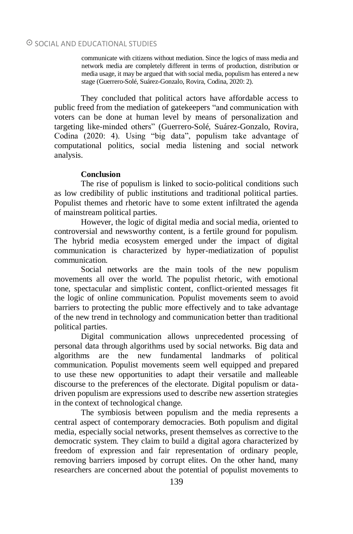communicate with citizens without mediation. Since the logics of mass media and network media are completely different in terms of production, distribution or media usage, it may be argued that with social media, populism has entered a new stage (Guerrero-Solé, Suárez-Gonzalo, Rovira, Codina, 2020: 2).

They concluded that political actors have affordable access to public freed from the mediation of gatekeepers "and communication with voters can be done at human level by means of personalization and targeting like-minded others" (Guerrero-Solé, Suárez-Gonzalo, Rovira, Codina (2020: 4). Using "big data", populism take advantage of computational politics, social media listening and social network analysis.

# **Conclusion**

The rise of populism is linked to socio-political conditions such as low credibility of public institutions and traditional political parties. Populist themes and rhetoric have to some extent infiltrated the agenda of mainstream political parties.

However, the logic of digital media and social media, oriented to controversial and newsworthy content, is a fertile ground for populism. The hybrid media ecosystem emerged under the impact of digital communication is characterized by hyper-mediatization of populist communication.

Social networks are the main tools of the new populism movements all over the world. The populist rhetoric, with emotional tone, spectacular and simplistic content, conflict-oriented messages fit the logic of online communication. Populist movements seem to avoid barriers to protecting the public more effectively and to take advantage of the new trend in technology and communication better than traditional political parties.

Digital communication allows unprecedented processing of personal data through algorithms used by social networks. Big data and algorithms are the new fundamental landmarks of political communication. Populist movements seem well equipped and prepared to use these new opportunities to adapt their versatile and malleable discourse to the preferences of the electorate. Digital populism or datadriven populism are expressions used to describe new assertion strategies in the context of technological change.

The symbiosis between populism and the media represents a central aspect of contemporary democracies. Both populism and digital media, especially social networks, present themselves as corrective to the democratic system. They claim to build a digital agora characterized by freedom of expression and fair representation of ordinary people, removing barriers imposed by corrupt elites. On the other hand, many researchers are concerned about the potential of populist movements to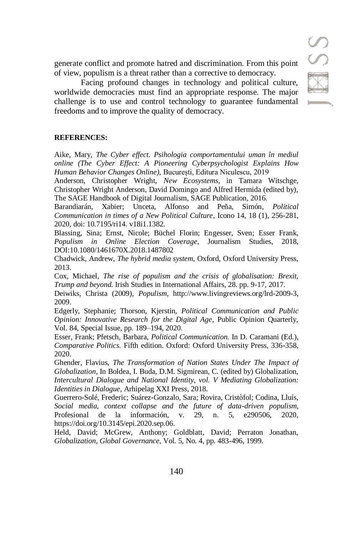generate conflict and promote hatred and discrimination. From this point of view, populism is a threat rather than a corrective to democracy.

Facing profound changes in technology and political culture, worldwide democracies must find an appropriate response. The major challenge is to use and control technology to guarantee fundamental freedoms and to improve the quality of democracy.

#### **REFERENCES:**

Aike, Mary, *The Cyber effect. Psihologia comportamentului uman în mediul online (The Cyber Effect: A Pioneering Cyberpsychologist Explains How Human Behavior Changes Online),* București, Editura Niculescu, 2019

Anderson, Christopher Wright, *New Ecosystems*, in Tamara Witschge, Christopher Wright Anderson, David Domingo and Alfred Hermida (edited by), The SAGE Handbook of Digital Journalism, SAGE Publication, 2016.

Barandiarán, Xabier; Unceta, Alfonso and Peña, Simón, *Political Communication in times of a New Political Culture*, Icono 14, 18 (1), 256-281, 2020, doi: 10.7195/ri14. v18i1.1382.

Blassing, Sina; Ernst, Nicole; Büchel Florin; Engesser, Sven; Esser Frank, *Populism in Online Election Coverage*, Journalism Studies, 2018, DOI:10.1080/1461670X.2018.1487802

Chadwick, Andrew, *The hybrid media system,* Oxford, Oxford University Press, 2013.

Cox, Michael, *The rise of populism and the crisis of globalisation: Brexit, Trump and beyond.* Irish Studies in International Affairs, 28. pp. 9-17, 2017.

Deiwiks, Christa (2009), *Populism*, [http://www.livingreviews.org/lrd-2009-3,](http://www.livingreviews.org/lrd-2009-3)  2009.

Edgerly, Stephanie; Thorson, Kjerstin, *Political Communication and Public Opinion: Innovative Research for the Digital Age*, Public Opinion Quarterly, Vol. 84, Special Issue, pp. 189–194, 2020.

Esser, Frank; Pfetsch, Barbara, *Political Communication.* In D. Caramani (Ed.), *Comparative Politics.* Fifth edition. Oxford: Oxford University Press, 336-358, 2020.

Ghender, Flavius, *The Transformation of Nation States Under The Impact of Globalization,* In Boldea, I. Buda, D.M. Sigmirean, C. (edited by) Globalization, *Intercultural Dialogue and National Identity, vol. V Mediating Globalization: Identities in Dialogue*, Arhipelag XXI Press, 2018.

Guerrero-Solé, Frederic; Suárez-Gonzalo, Sara; Rovira, Cristòfol; Codina, Lluís, *Social media, context collapse and the future of data-driven populism*, Profesional de la información, v. 29, n. 5, e290506, 2020, [https://doi.org/10.3145/epi.2020.sep.06.](https://doi.org/10.3145/epi.2020.sep.06)

Held, David; McGrew, Anthony; Goldblatt, David; Perraton Jonathan, *Globalization, Global Governance*, Vol. 5, No. 4, pp. 483-496, 1999.